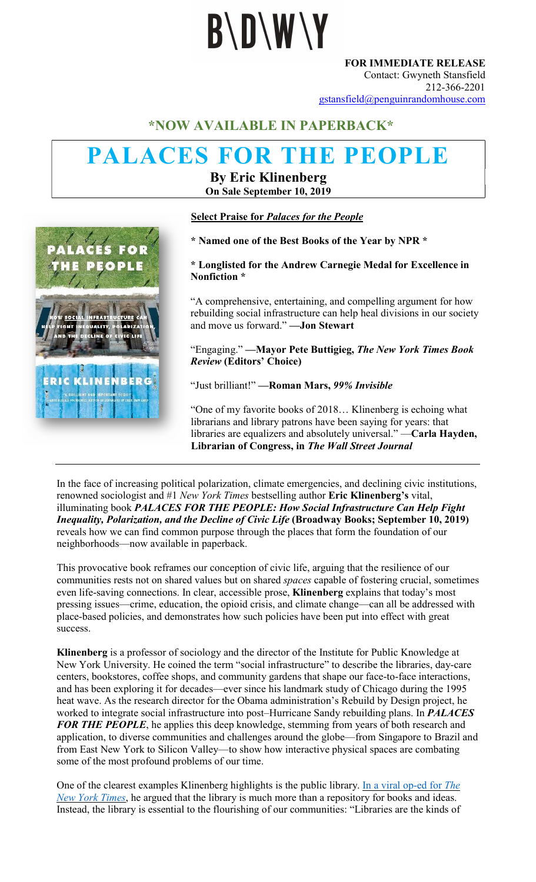# **B\D\W\Y**

FOR IMMEDIATE RELEASE Contact: Gwyneth Stansfield 212-366-2201 gstansfield@penguinrandomhouse.com

#### \*NOW AVAILABLE IN PAPERBACK\*

### PALACES FOR THE PEOPLE

By Eric Klinenberg On Sale September 10, 2019



#### Select Praise for Palaces for the People

\* Named one of the Best Books of the Year by NPR \*

#### \* Longlisted for the Andrew Carnegie Medal for Excellence in Nonfiction \*

"A comprehensive, entertaining, and compelling argument for how rebuilding social infrastructure can help heal divisions in our society and move us forward." —Jon Stewart

"Engaging." —Mayor Pete Buttigieg, The New York Times Book Review (Editors' Choice)

"Just brilliant!" —Roman Mars, 99% Invisible

"One of my favorite books of 2018… Klinenberg is echoing what librarians and library patrons have been saying for years: that libraries are equalizers and absolutely universal." —Carla Hayden, Librarian of Congress, in The Wall Street Journal

In the face of increasing political polarization, climate emergencies, and declining civic institutions, renowned sociologist and #1 New York Times bestselling author Eric Klinenberg's vital, illuminating book PALACES FOR THE PEOPLE: How Social Infrastructure Can Help Fight Inequality, Polarization, and the Decline of Civic Life (Broadway Books; September 10, 2019) reveals how we can find common purpose through the places that form the foundation of our neighborhoods—now available in paperback.

This provocative book reframes our conception of civic life, arguing that the resilience of our communities rests not on shared values but on shared spaces capable of fostering crucial, sometimes even life-saving connections. In clear, accessible prose, Klinenberg explains that today's most pressing issues—crime, education, the opioid crisis, and climate change—can all be addressed with place-based policies, and demonstrates how such policies have been put into effect with great success.

Klinenberg is a professor of sociology and the director of the Institute for Public Knowledge at New York University. He coined the term "social infrastructure" to describe the libraries, day-care centers, bookstores, coffee shops, and community gardens that shape our face-to-face interactions, and has been exploring it for decades—ever since his landmark study of Chicago during the 1995 heat wave. As the research director for the Obama administration's Rebuild by Design project, he worked to integrate social infrastructure into post-Hurricane Sandy rebuilding plans. In PALACES FOR THE PEOPLE, he applies this deep knowledge, stemming from years of both research and application, to diverse communities and challenges around the globe—from Singapore to Brazil and from East New York to Silicon Valley—to show how interactive physical spaces are combating some of the most profound problems of our time.

One of the clearest examples Klinenberg highlights is the public library. In a viral op-ed for The New York Times, he argued that the library is much more than a repository for books and ideas. Instead, the library is essential to the flourishing of our communities: "Libraries are the kinds of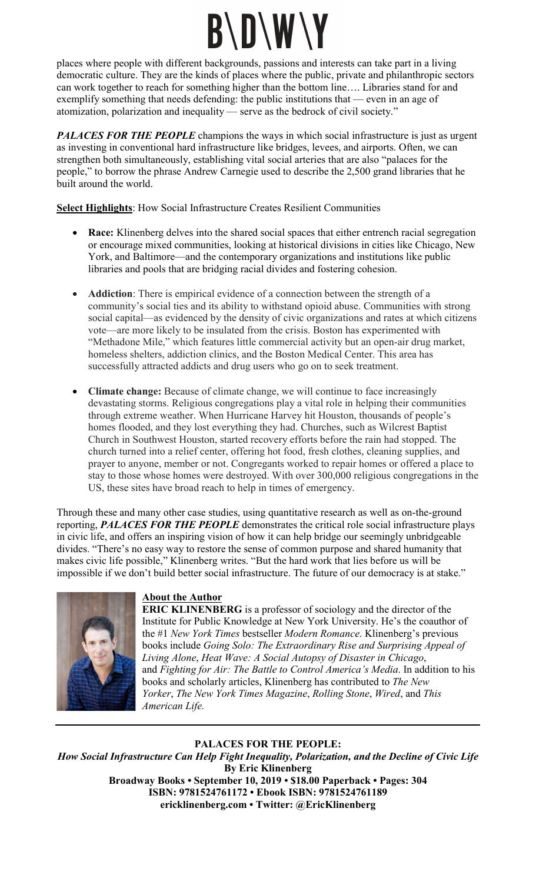## **B\D\W\Y**

places where people with different backgrounds, passions and interests can take part in a living democratic culture. They are the kinds of places where the public, private and philanthropic sectors can work together to reach for something higher than the bottom line…. Libraries stand for and exemplify something that needs defending: the public institutions that — even in an age of atomization, polarization and inequality — serve as the bedrock of civil society."

**PALACES FOR THE PEOPLE** champions the ways in which social infrastructure is just as urgent as investing in conventional hard infrastructure like bridges, levees, and airports. Often, we can strengthen both simultaneously, establishing vital social arteries that are also "palaces for the people," to borrow the phrase Andrew Carnegie used to describe the 2,500 grand libraries that he built around the world.

Select Highlights: How Social Infrastructure Creates Resilient Communities

- Race: Klinenberg delves into the shared social spaces that either entrench racial segregation or encourage mixed communities, looking at historical divisions in cities like Chicago, New York, and Baltimore—and the contemporary organizations and institutions like public libraries and pools that are bridging racial divides and fostering cohesion.
- Addiction: There is empirical evidence of a connection between the strength of a community's social ties and its ability to withstand opioid abuse. Communities with strong social capital—as evidenced by the density of civic organizations and rates at which citizens vote—are more likely to be insulated from the crisis. Boston has experimented with "Methadone Mile," which features little commercial activity but an open-air drug market, homeless shelters, addiction clinics, and the Boston Medical Center. This area has successfully attracted addicts and drug users who go on to seek treatment.
- Climate change: Because of climate change, we will continue to face increasingly devastating storms. Religious congregations play a vital role in helping their communities through extreme weather. When Hurricane Harvey hit Houston, thousands of people's homes flooded, and they lost everything they had. Churches, such as Wilcrest Baptist Church in Southwest Houston, started recovery efforts before the rain had stopped. The church turned into a relief center, offering hot food, fresh clothes, cleaning supplies, and prayer to anyone, member or not. Congregants worked to repair homes or offered a place to stay to those whose homes were destroyed. With over 300,000 religious congregations in the US, these sites have broad reach to help in times of emergency.

Through these and many other case studies, using quantitative research as well as on-the-ground reporting, PALACES FOR THE PEOPLE demonstrates the critical role social infrastructure plays in civic life, and offers an inspiring vision of how it can help bridge our seemingly unbridgeable divides. "There's no easy way to restore the sense of common purpose and shared humanity that makes civic life possible," Klinenberg writes. "But the hard work that lies before us will be impossible if we don't build better social infrastructure. The future of our democracy is at stake."



#### About the Author

ERIC KLINENBERG is a professor of sociology and the director of the Institute for Public Knowledge at New York University. He's the coauthor of the #1 New York Times bestseller Modern Romance. Klinenberg's previous books include Going Solo: The Extraordinary Rise and Surprising Appeal of Living Alone, Heat Wave: A Social Autopsy of Disaster in Chicago, and Fighting for Air: The Battle to Control America's Media. In addition to his books and scholarly articles, Klinenberg has contributed to The New Yorker, The New York Times Magazine, Rolling Stone, Wired, and This American Life.

#### PALACES FOR THE PEOPLE:

How Social Infrastructure Can Help Fight Inequality, Polarization, and the Decline of Civic Life By Eric Klinenberg Broadway Books • September 10, 2019 • \$18.00 Paperback • Pages: 304 ISBN: 9781524761172 • Ebook ISBN: 9781524761189 ericklinenberg.com • Twitter: @EricKlinenberg